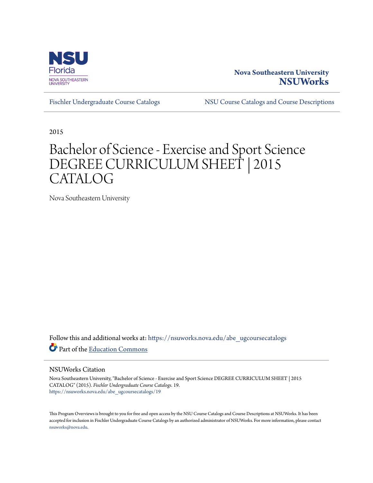

## **Nova Southeastern University [NSUWorks](https://nsuworks.nova.edu?utm_source=nsuworks.nova.edu%2Fabe_ugcoursecatalogs%2F19&utm_medium=PDF&utm_campaign=PDFCoverPages)**

[Fischler Undergraduate Course Catalogs](https://nsuworks.nova.edu/abe_ugcoursecatalogs?utm_source=nsuworks.nova.edu%2Fabe_ugcoursecatalogs%2F19&utm_medium=PDF&utm_campaign=PDFCoverPages) [NSU Course Catalogs and Course Descriptions](https://nsuworks.nova.edu/nsu_catalogs?utm_source=nsuworks.nova.edu%2Fabe_ugcoursecatalogs%2F19&utm_medium=PDF&utm_campaign=PDFCoverPages)

2015

# Bachelor of Science - Exercise and Sport Science DEGREE CURRICULUM SHEET | 2015 CATALOG

Nova Southeastern University

Follow this and additional works at: [https://nsuworks.nova.edu/abe\\_ugcoursecatalogs](https://nsuworks.nova.edu/abe_ugcoursecatalogs?utm_source=nsuworks.nova.edu%2Fabe_ugcoursecatalogs%2F19&utm_medium=PDF&utm_campaign=PDFCoverPages) Part of the [Education Commons](http://network.bepress.com/hgg/discipline/784?utm_source=nsuworks.nova.edu%2Fabe_ugcoursecatalogs%2F19&utm_medium=PDF&utm_campaign=PDFCoverPages)

#### NSUWorks Citation

Nova Southeastern University, "Bachelor of Science - Exercise and Sport Science DEGREE CURRICULUM SHEET | 2015 CATALOG" (2015). *Fischler Undergraduate Course Catalogs*. 19. [https://nsuworks.nova.edu/abe\\_ugcoursecatalogs/19](https://nsuworks.nova.edu/abe_ugcoursecatalogs/19?utm_source=nsuworks.nova.edu%2Fabe_ugcoursecatalogs%2F19&utm_medium=PDF&utm_campaign=PDFCoverPages)

This Program Overviews is brought to you for free and open access by the NSU Course Catalogs and Course Descriptions at NSUWorks. It has been accepted for inclusion in Fischler Undergraduate Course Catalogs by an authorized administrator of NSUWorks. For more information, please contact [nsuworks@nova.edu.](mailto:nsuworks@nova.edu)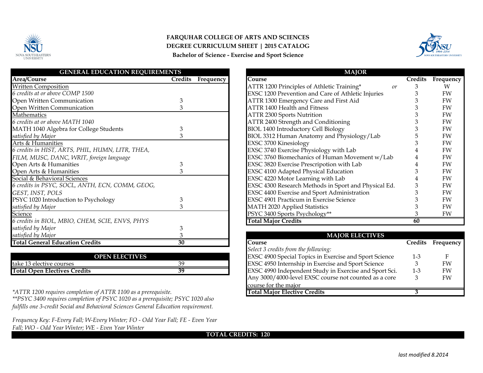

## **FARQUHAR COLLEGE OF ARTS AND SCIENCES Bachelor of Science - Exercise and Sport Science DEGREE CURRICULUM SHEET | 2015 CATALOG**



| <b>GENERAL EDUCATION REQUIREMENTS</b>            |         |           | <b>MAJOR</b>                                         |                |           |
|--------------------------------------------------|---------|-----------|------------------------------------------------------|----------------|-----------|
| Area/Course                                      | Credits | Frequency | Course                                               | <b>Credits</b> | Frequency |
| <b>Written Composition</b>                       |         |           | ATTR 1200 Principles of Athletic Training*<br>or     |                | W         |
| 6 credits at or above COMP 1500                  |         |           | EXSC 1200 Prevention and Care of Athletic Injuries   |                | FW        |
| Open Written Communication                       |         |           | ATTR 1300 Emergency Care and First Aid               |                | FW        |
| Open Written Communication                       |         |           | ATTR 1400 Health and Fitness                         |                | FW        |
| Mathematics                                      |         |           | <b>ATTR 2300 Sports Nutrition</b>                    |                | FW        |
| 6 credits at or above MATH 1040                  |         |           | ATTR 2400 Strength and Conditioning                  |                | FW        |
| MATH 1040 Algebra for College Students           | З       |           | BIOL 1400 Introductory Cell Biology                  |                | FW        |
| satisfied by Major                               |         |           | BIOL 3312 Human Anatomy and Physiology/Lab           |                | FW        |
| Arts & Humanities                                |         |           | EXSC 3700 Kinesiology                                |                | FW        |
| 6 credits in HIST, ARTS, PHIL, HUMN, LITR, THEA, |         |           | EXSC 3740 Exercise Physiology with Lab               |                | FW        |
| FILM, MUSC, DANC, WRIT, foreign language         |         |           | EXSC 3760 Biomechanics of Human Movement w/Lab       |                | FW        |
| Open Arts & Humanities                           | 3       |           | EXSC 3820 Exercise Prescripotion with Lab            |                | FW        |
| Open Arts & Humanities                           | 3       |           | EXSC 4100 Adapted Physical Education                 |                | FW        |
| Social & Behavioral Sciences                     |         |           | EXSC 4220 Motor Learning with Lab                    |                | FW        |
| 6 credits in PSYC, SOCL, ANTH, ECN, COMM, GEOG,  |         |           | EXSC 4300 Research Methods in Sport and Physical Ed. |                | FW        |
| GEST, INST, POLS                                 |         |           | EXSC 4400 Exercise and Sport Administration          |                | FW        |
| PSYC 1020 Introduction to Psychology             | 3       |           | EXSC 4901 Practicum in Exercise Science              |                | FW        |
| satisfied by Major                               | κ       |           | <b>MATH 2020 Applied Statistics</b>                  |                | FW        |
| Science                                          |         |           | PSYC 3400 Sports Psychology**                        |                | FW        |
| 6 credits in BIOL, MBIO, CHEM, SCIE, ENVS, PHYS  |         |           | <b>Total Major Credits</b>                           | 60             |           |
| satisfied by Major                               |         |           |                                                      |                |           |
| satisfied by Major                               |         |           | <b>MAJOR ELECTIVES</b>                               |                |           |
| <b>Total General Education Credits</b>           | 30      |           | Course                                               | Credits        | Frequency |

| <b>OPEN ELECTIVES</b>        |    | EXSC 4900 Special Topics in Exercise and Sport Science        |
|------------------------------|----|---------------------------------------------------------------|
| take 13 elective courses     |    | <b>EXSC 4950 Internship in Exercise and Sport Science</b>     |
| Total Open Electives Credits | 39 | <b>EXSC 4990 Independent Study in Exercise and Sport Sci.</b> |

*\*ATTR 1200 requires completion of ATTR 1100 as a prerequisite.*

*\*\*PSYC 3400 requires completion of PSYC 1020 as a prerequisite; PSYC 1020 also fulfills one 3-credit Social and Behavioral Sciences General Education requirement.*

*Frequency Key: F-Every Fall; W-Every Winter; FO - Odd Year Fall; FE - Even Year Fall; WO - Odd Year Winter; WE - Even Year Winter* 

| <b>MAJUK</b>                                         |                |           |
|------------------------------------------------------|----------------|-----------|
| Course                                               | <b>Credits</b> | Frequency |
| ATTR 1200 Principles of Athletic Training*<br>or     | 3              | W         |
| EXSC 1200 Prevention and Care of Athletic Injuries   | 3              | FW        |
| ATTR 1300 Emergency Care and First Aid               | 3              | FW        |
| <b>ATTR 1400 Health and Fitness</b>                  | 3              | FW        |
| <b>ATTR 2300 Sports Nutrition</b>                    | 3              | FW        |
| ATTR 2400 Strength and Conditioning                  | 3              | FW        |
| <b>BIOL 1400 Introductory Cell Biology</b>           | 3              | FW        |
| BIOL 3312 Human Anatomy and Physiology/Lab           | 5              | FW        |
| EXSC 3700 Kinesiology                                | 3              | FW        |
| EXSC 3740 Exercise Physiology with Lab               | 4              | FW        |
| EXSC 3760 Biomechanics of Human Movement w/Lab       | 4              | FW        |
| EXSC 3820 Exercise Prescripotion with Lab            | 4              | FW        |
| EXSC 4100 Adapted Physical Education                 | 3              | FW        |
| EXSC 4220 Motor Learning with Lab                    | 4              | FW        |
| EXSC 4300 Research Methods in Sport and Physical Ed. | 3              | FW        |
| EXSC 4400 Exercise and Sport Administration          | 3              | FW        |
| <b>EXSC 4901 Practicum in Exercise Science</b>       | 3              | FW        |
| <b>MATH 2020 Applied Statistics</b>                  | 3              | FW        |
| PSYC 3400 Sports Psychology**                        | З              | FW        |
| <b>Total Major Credits</b>                           | 60             |           |

| <b>MAJOR ELECTIVES</b>                                 |                |           |  |  |
|--------------------------------------------------------|----------------|-----------|--|--|
| <b>Course</b>                                          | <b>Credits</b> | Frequency |  |  |
| Select 3 credits from the following:                   |                |           |  |  |
| EXSC 4900 Special Topics in Exercise and Sport Science | $1 - 3$        | F         |  |  |
| EXSC 4950 Internship in Exercise and Sport Science     | З              | FW        |  |  |
| EXSC 4990 Independent Study in Exercise and Sport Sci. | $1 - 3$        | FW        |  |  |
| Any 3000/4000-level EXSC course not counted as a core  | З              | FW        |  |  |
| course for the major                                   |                |           |  |  |
| <b>Total Major Elective Credits</b>                    |                |           |  |  |

**TOTAL CREDITS: 120**